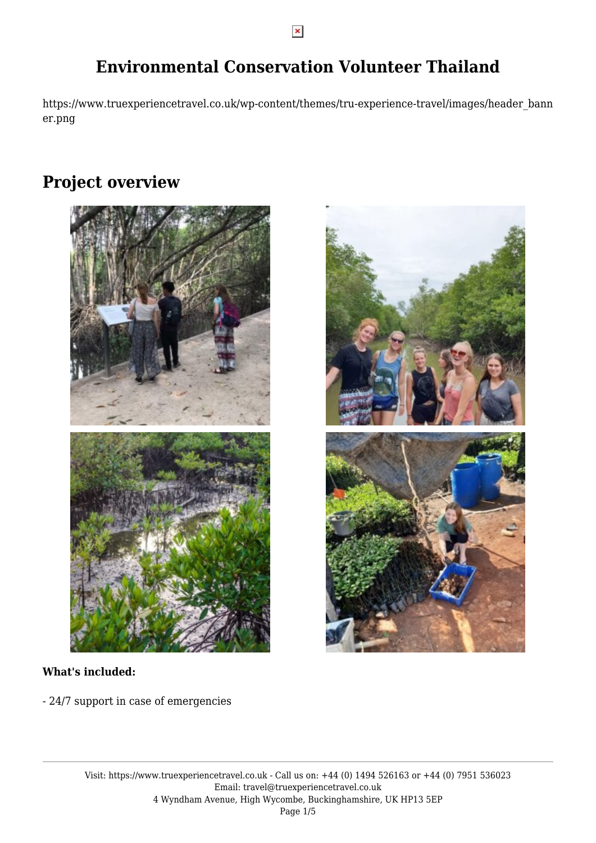$\pmb{\times}$ 

## **Environmental Conservation Volunteer Thailand**

https://www.truexperiencetravel.co.uk/wp-content/themes/tru-experience-travel/images/header\_bann er.png

### **Project overview**





- 24/7 support in case of emergencies

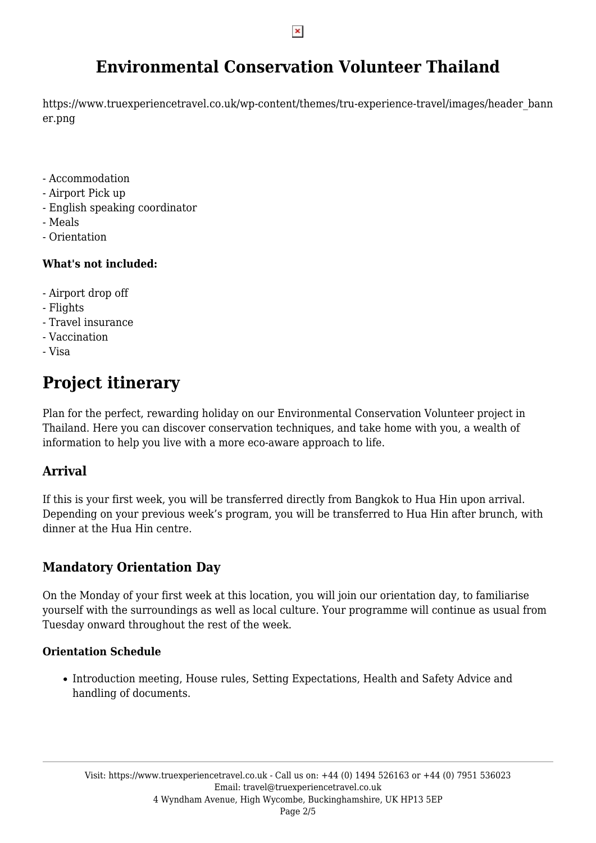## **Environmental Conservation Volunteer Thailand**

https://www.truexperiencetravel.co.uk/wp-content/themes/tru-experience-travel/images/header\_bann er.png

- Accommodation
- Airport Pick up
- English speaking coordinator
- Meals
- Orientation

#### **What's not included:**

- Airport drop off
- Flights
- Travel insurance
- Vaccination
- Visa

# **Project itinerary**

Plan for the perfect, rewarding holiday on our Environmental Conservation Volunteer project in Thailand. Here you can discover conservation techniques, and take home with you, a wealth of information to help you live with a more eco-aware approach to life.

#### **Arrival**

If this is your first week, you will be transferred directly from Bangkok to Hua Hin upon arrival. Depending on your previous week's program, you will be transferred to Hua Hin after brunch, with dinner at the Hua Hin centre.

### **Mandatory Orientation Day**

On the Monday of your first week at this location, you will join our orientation day, to familiarise yourself with the surroundings as well as local culture. Your programme will continue as usual from Tuesday onward throughout the rest of the week.

#### **Orientation Schedule**

• Introduction meeting, House rules, Setting Expectations, Health and Safety Advice and handling of documents.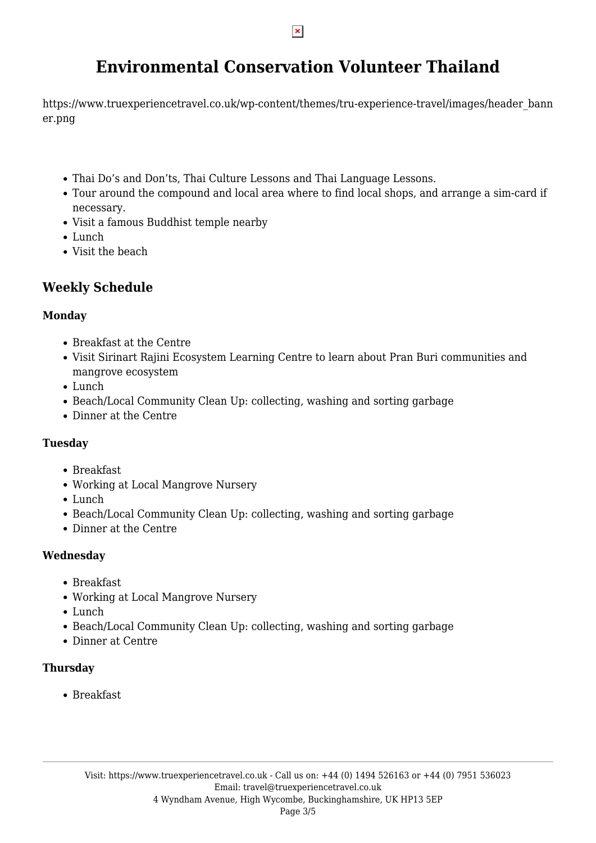## **Environmental Conservation Volunteer Thailand**

https://www.truexperiencetravel.co.uk/wp-content/themes/tru-experience-travel/images/header\_bann er.png

- Thai Do's and Don'ts, Thai Culture Lessons and Thai Language Lessons.
- Tour around the compound and local area where to find local shops, and arrange a sim-card if necessary.
- Visit a famous Buddhist temple nearby
- Lunch
- Visit the beach

### **Weekly Schedule**

#### **Monday**

- Breakfast at the Centre
- Visit Sirinart Rajini Ecosystem Learning Centre to learn about Pran Buri communities and mangrove ecosystem
- Lunch
- Beach/Local Community Clean Up: collecting, washing and sorting garbage
- Dinner at the Centre

#### **Tuesday**

- Breakfast
- Working at Local Mangrove Nursery
- Lunch
- Beach/Local Community Clean Up: collecting, washing and sorting garbage
- Dinner at the Centre

#### **Wednesday**

- Breakfast
- Working at Local Mangrove Nursery
- Lunch
- Beach/Local Community Clean Up: collecting, washing and sorting garbage
- Dinner at Centre

#### **Thursday**

• Breakfast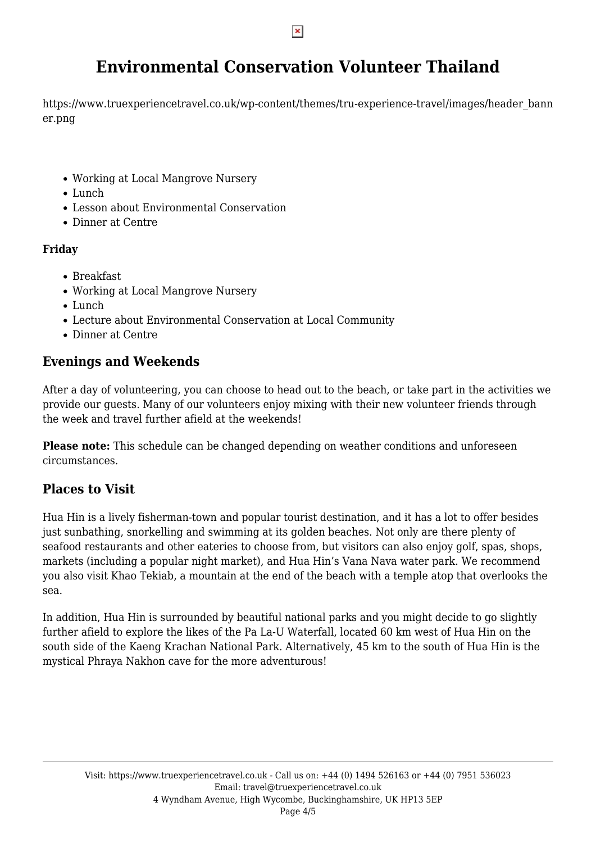$\pmb{\times}$ 

## **Environmental Conservation Volunteer Thailand**

https://www.truexperiencetravel.co.uk/wp-content/themes/tru-experience-travel/images/header\_bann er.png

- Working at Local Mangrove Nursery
- Lunch
- Lesson about Environmental Conservation
- Dinner at Centre

#### **Friday**

- Breakfast
- Working at Local Mangrove Nursery
- Lunch
- Lecture about Environmental Conservation at Local Community
- Dinner at Centre

### **Evenings and Weekends**

After a day of volunteering, you can choose to head out to the beach, or take part in the activities we provide our guests. Many of our volunteers enjoy mixing with their new volunteer friends through the week and travel further afield at the weekends!

**Please note:** This schedule can be changed depending on weather conditions and unforeseen circumstances.

### **Places to Visit**

Hua Hin is a lively fisherman-town and popular tourist destination, and it has a lot to offer besides just sunbathing, snorkelling and swimming at its golden beaches. Not only are there plenty of seafood restaurants and other eateries to choose from, but visitors can also enjoy golf, spas, shops, markets (including a popular night market), and Hua Hin's Vana Nava water park. We recommend you also visit Khao Tekiab, a mountain at the end of the beach with a temple atop that overlooks the sea.

In addition, Hua Hin is surrounded by beautiful national parks and you might decide to go slightly further afield to explore the likes of the Pa La-U Waterfall, located 60 km west of Hua Hin on the south side of the Kaeng Krachan National Park. Alternatively, 45 km to the south of Hua Hin is the mystical Phraya Nakhon cave for the more adventurous!